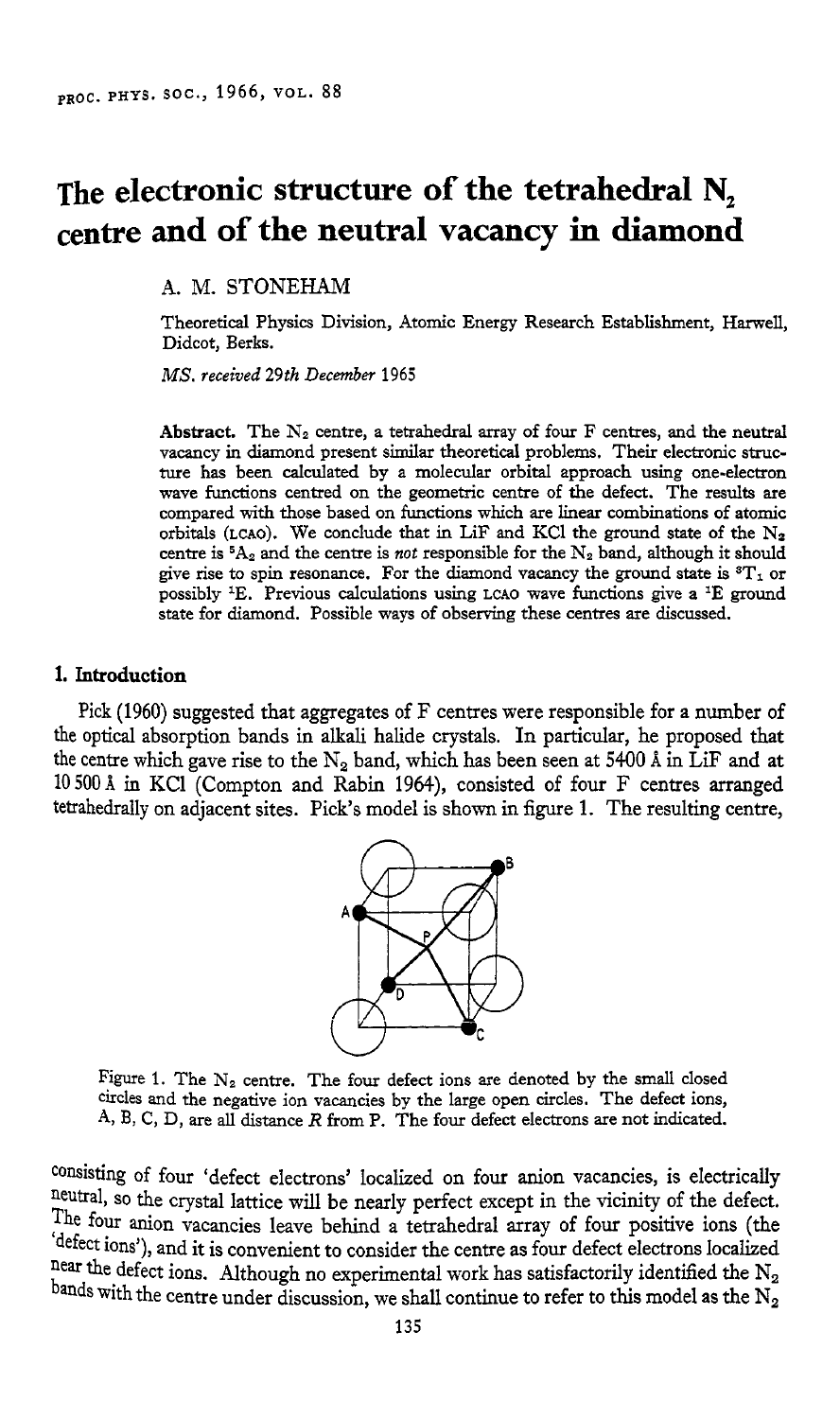# **The electronic structure of the tetrahedral N, centre and of the neutral vacancy in diamond**

**A.** M. STONEHAM

Theoretical Physics Division, Atomic Energy Research Establishment, Harwell, Didcot, Berks.

*MS. received* **29th** *December* **1965** 

Abstract. The  $N_2$  centre, a tetrahedral array of four  $F$  centres, and the neutral vacancy in diamond present similar theoretical problems. Their electronic structure has been calculated by a molecular orbital approach using one-electron wave functions centred on the geometric centre of the defect. The results are compared with those based on functions which are linear combinations of atomic orbitals (LCAO). We conclude that in LiF and KCl the ground state of the  $N_2$ centre is  ${}^5A_2$  and the centre is *not* responsible for the  $N_2$  band, although it should give rise to spin resonance. For the diamond vacancy the ground state is  ${}^{3}T_{1}$  or possibly **IE.** Previous calculations using **LCAO** wave functions give a IE ground state for diamond. Possible ways of observing these centres are discussed.

### **1. Introduction**

Pick (1960) suggested that aggregates of F centres were responsible for a number of the optical absorption bands in alkali halide crystals. In particular, he proposed that the centre which gave rise to the N<sub>2</sub> band, which has been seen at 5400 Å in LiF and at 10500A in KC1 (Compton and Rabin 1964), consisted of four F centres arranged tetrahedrally on adjacent sites. Pick's model is shown in figure 1. The resulting centre,



Figure 1. The N<sub>2</sub> centre. The four defect ions are denoted by the small closed circles and the negative ion vacancies by the large open circles. The defect ions, A, **B,** C, D, are **all** distance *R* from p. The four defect electrons are not indicated.

consisting of four 'defect electrons' localized on four anion vacancies, is electrically neutral, so the crystal lattice will be nearly perfect except in the vicinity of the defect. The four anion vacancies leave behind a tetrahedral array of four positive ions (the 'defect ions'), and it is convenient to consider the centre as four defect electrons localized near the defect ions. Although no experimental work has satisfactorily identified the  $N_2$ bands with the centre under discussion, we shall continue to refer to this model as the  $N_2$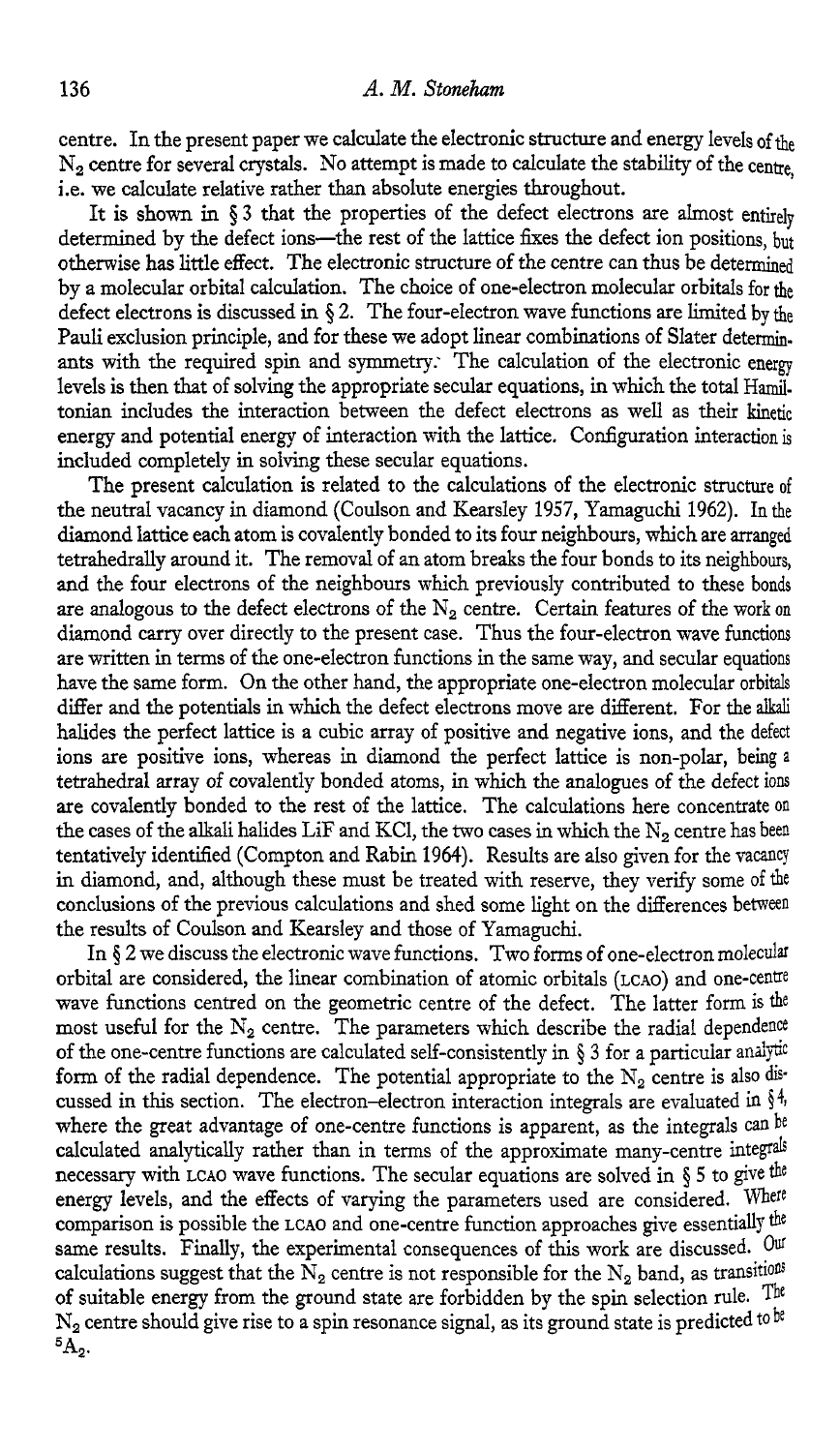centre. In the present paper we calculate the electronic structure and energy levels of the N<sub>2</sub> centre for several crystals. No attempt is made to calculate the stability of the centre, i.e. we calculate relative rather than absolute energies throughout.

It is shown in § 3 that the properties of the defect electrons are almost entirely determined by the defect ions-the rest of the lattice fixes the defect ion positions, but otherwise has little effect. The electronic structure of the centre can thus be determined by a molecular orbital calculation. The choice of one-electron molecular orbitals for *&e*  defect electrons is discussed in **5 2.** The four-electron wave functions are limited by *&e*  Pauli exclusion principle, and for these we adopt linear combinations of Slater determinants with the required spin and symmetry: The calculation of the electronic energy levels is then that of solving the appropriate secular equations, in which the total Hamiltonian includes the interaction between the defect electrons as well as their kinetic energy and potential energy of interaction with the lattice. Configuration interaction is included completely in solving these secular equations.

The present calculation is related to the calculations of the electronic structure of the neutral vacancy in diamond (Coulson and Kearsley 1957, Yamaguchi 1962). In the diamond lattice each atom is covalently bonded to its four neighbours, which are arranged tetrahedrally around it. The removal of an atom breaks the four bonds to its neighbours, and the four electrons of the neighbours which previously contributed to these bonds are analogous to the defect electrons of the  $N_2$  centre. Certain features of the work on diamond carry over directly to the present case. Thus the four-electron wave functions are written in terms of the one-electron functions in the same way, and secular equations have the same form. On the other hand, the appropriate one-electron molecular orbitals differ and the potentials in which the defect electrons move are ditferent. For the **alkali**  halides the perfect lattice is a cubic array of positive and negative ions, and the defect ions are positive ions, whereas in diamond the perfect lattice is non-polar, being a tetrahedral array of covalently bonded atoms, in which the analogues of the defect ions are covalently bonded to the rest of the lattice. The calculations here concentrate on the cases of the alkali halides LiF and KCl, the *two* cases in which the N, centre has been tentatively identified (Compton and Rabin 1964). Results are also given for the vacancy in diamond, and, although these must be treated with reserve, they verify some of the conclusions of the previous calculations and shed some light on the differences between the results of Coulson and Kearsley and those of Yamaguchi.

In **5** 2 we discuss the electronic wave functions. Two forms of one-electron molecular orbital are considered, the linear combination of atomic orbitals (LCAO) and one-cenue wave functions centred on the geometric centre of the defect. The latter form is **the**  most useful for the  $N_2$  centre. The parameters which describe the radial dependence of the one-centre functions are calculated self-consistently in  $\S 3$  for a particular analytic form of the radial dependence. The potential appropriate to the  $N_2$  centre is also discussed in this section. The electron-electron interaction integrals are evaluated in  $\S^4$ , where the great advantage of one-centre functions is apparent, as the integrals can be calculated analytically rather than in terms of the approximate many-centre integrals necessary with LCAO wave functions. The secular equations are solved in § 5 to give the energy levels, and the effects of varying the parameters used are considered. Where comparison is possible the **LCAO** and one-centre function approaches give essentially same results. Finally, the experimental consequences of this work are discussed. Our calculations suggest that the  $\bar{N}_2$  centre is not responsible for the  $N_2$  band, as transitions of suitable energy from the ground state are forbidden by the spin selection rule. The  $N_2$  centre should give rise to a spin resonance signal, as its ground state is predicted to be  ${}^5A_2.$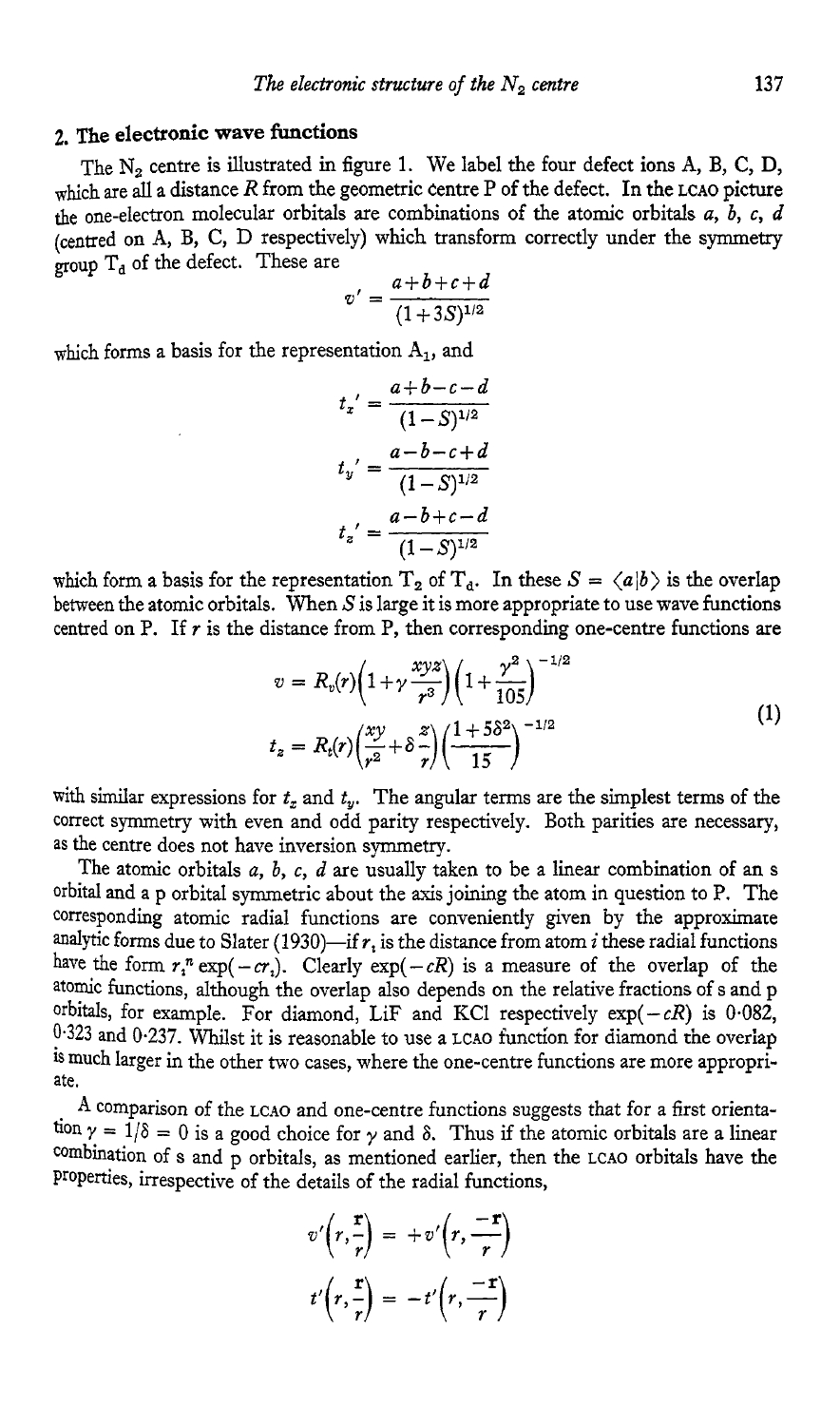# **2. me electronic wave functions**

The N<sub>2</sub> centre is illustrated in figure 1. We label the four defect ions A, B, C, D, which are all a distance *R* from the geometric centre P of the defect. In the LCAO picture the one-electron molecular orbitals are combinations of the atomic orbitals  $a, b, c, d$ (centred on **A,** B, C, D respectively) which transform correctly under the symmetry group  $T_d$  of the defect. These are

$$
v' = \frac{a+b+c+d}{(1+3S)^{1/2}}
$$

which forms a basis for the representation **A,,** and

$$
t_x' = \frac{a+b-c-d}{(1-S)^{1/2}}
$$

$$
t_y' = \frac{a-b-c+d}{(1-S)^{1/2}}
$$

$$
t_z' = \frac{a-b+c-d}{(1-S)^{1/2}}
$$

which form a basis for the representation  $T_2$  of  $T_d$ . In these  $S = \langle a|b \rangle$  is the overlap between the atomic orbitals. When *5'* is large it is more appropriate to use wave functions centred on P. If  $r$  is the distance from P, then corresponding one-centre functions are

$$
v = R_v(r)\left(1+\gamma\frac{xyz}{r^3}\right)\left(1+\frac{\gamma^2}{105}\right)^{-1/2}
$$
  

$$
t_z = R_t(r)\left(\frac{xy}{r^2}+\delta\frac{z}{r}\right)\left(\frac{1+5\delta^2}{15}\right)^{-1/2}
$$
 (1)

with similar expressions for  $t_x$  and  $t_y$ . The angular terms are the simplest terms of the correct symmetry with even and odd parity respectively. Both parities are necessary, as the centre does not have inversion symmetry.

The atomic orbitals *a, b,* c, *d* are usually taken to be a linear combination of **an** s orbital and a p orbital symmetric about the axis joining the atom in question to P. The corresponding atomic radial functions are conveniently given by the approximate analytic forms due to Slater (1930)-if  $r_i$  is the distance from atom *i* these radial functions have the form  $r_1^n \exp(-cr_1)$ . Clearly  $\exp(-cR)$  is a measure of the overlap of the atomic functions, although the overlap also depends on the relative fractions of s and P orbitals, for example. For diamond, LiF and KCl respectively  $exp(-cR)$  is  $0.082$ , **0.323** and 0.237. Whilst it is reasonable to use a **LCAO** function for diamond the overiap is much larger in the other two cases, where the one-centre functions are more appropriate.

**A** comparison of the **LCAO** and one-centre functions suggests that for a first orientation  $\gamma = 1/\delta = 0$  is a good choice for  $\gamma$  and  $\delta$ . Thus if the atomic orbitals are a linear combination of s and p orbitals, as mentioned earlier, then the LCAO orbitals have the Properties, irrespective of the details of the radial functions,

$$
v'\left(r,\frac{r}{r}\right) = +v'\left(r,\frac{-r}{r}\right)
$$

$$
t'\left(r,\frac{r}{r}\right) = -t'\left(r,\frac{-r}{r}\right)
$$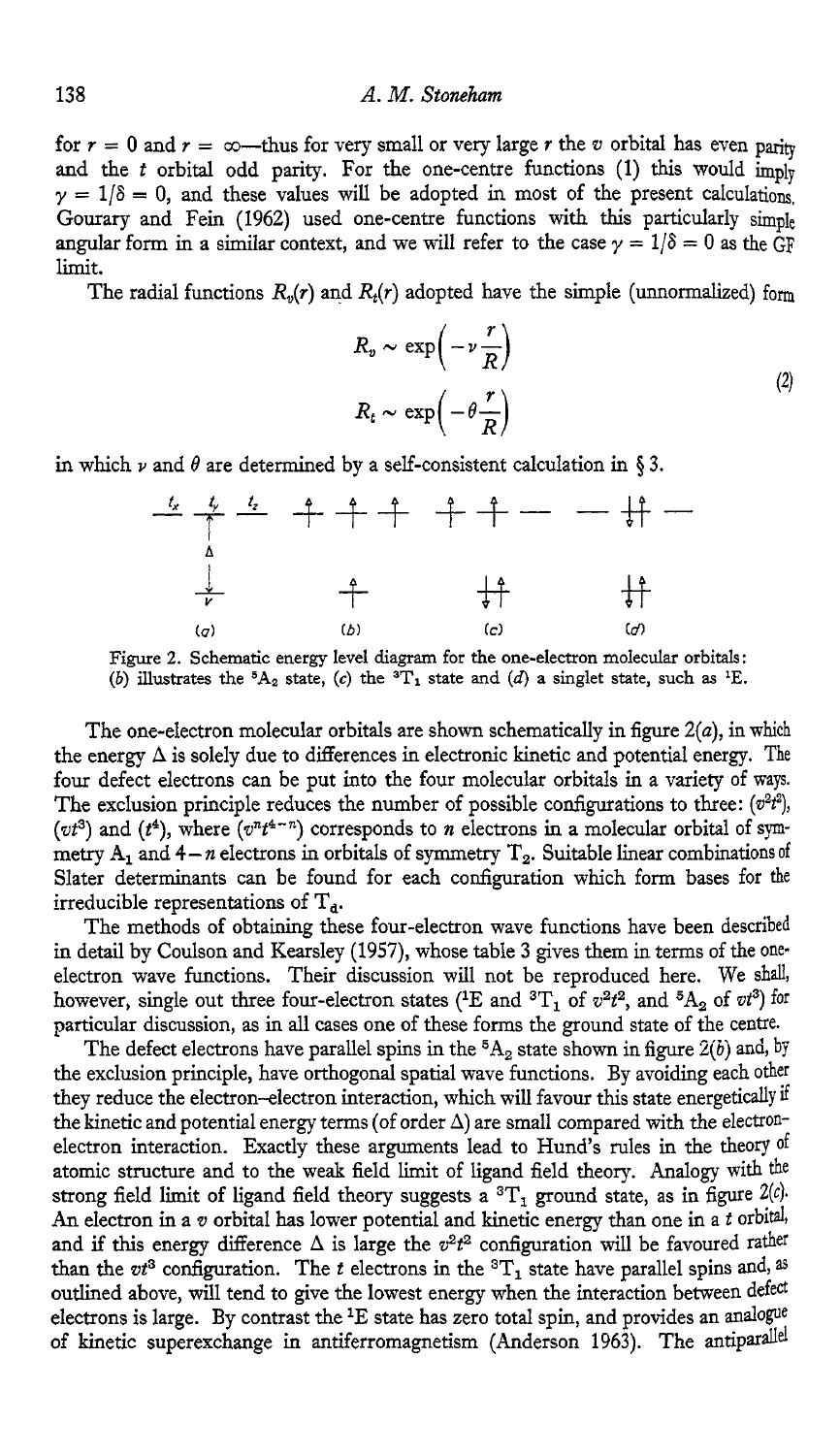for  $r = 0$  and  $r = \infty$ --thus for very small or very large  $r$  the  $v$  orbital has even parity and the *t* orbital odd parity. For the one-centre functions (1) this would imply  $\gamma = 1/\delta = 0$ , and these values will be adopted in most of the present calculations, Gourary and Fein (1962) used one-centre functions with this particularly simple angular form in a similar context, and we will refer to the case  $\gamma = 1/\delta = 0$  as the GF limit.

The radial functions  $R_n(r)$  and  $R_n(r)$  adopted have the simple (unnormalized) form

$$
R_v \sim \exp\left(-\nu \frac{r}{R}\right)
$$
  

$$
R_t \sim \exp\left(-\theta \frac{r}{R}\right)
$$
 (2)

in which  $\nu$  and  $\theta$  are determined by a self-consistent calculation in § 3.



Figure 2. Schematic energy level **diagram** for the one-electron molecular orbitals: *(b)* illustrates the  ${}^5A_2$  state, *(c)* the  ${}^3T_1$  state and *(d)* a singlet state, such as <sup>1</sup>E.

The one-electron molecular orbitals are shown schematically in figure  $2(a)$ , in which the energy  $\Delta$  is solely due to differences in electronic kinetic and potential energy. The four defect electrons can be put into the four molecular orbitals in a variety of ways. The exclusion principle reduces the number of possible configurations to three:  $(v^2t^2)$ , ( $vt^3$ ) and ( $t^4$ ), where  $(v^n t^{4-n})$  corresponds to *n* electrons in a molecular orbital of symmetry  $A_1$  and  $4-n$  electrons in orbitals of symmetry  $T_2$ . Suitable linear combinations of Slater determinants can be found for each configuration which form bases for the irreducible representations of  $T_a$ .

The methods of obtaining these four-electron wave functions have been described in detail by Coulson and Kearsley (1957), whose table 3 gives them in terms of the **one**electron wave functions. Their discussion will not be reproduced here. We shall, however, single out three four-electron states (<sup>1</sup>E and <sup>3</sup>T<sub>1</sub> of  $v^2t^2$ , and <sup>5</sup>A<sub>2</sub> of  $vt^3$ ) for particular discussion, **as** in all cases one of these forms the ground state of the centre.

The defect electrons have parallel spins in the  ${}^5A_2$  state shown in figure 2(b) and, by the exclusion principle, have orthogonal spatial wave functions. By avoiding each other they reduce the electron-electron interaction, which will favour this state energetically if the kinetic and potential energy terms (of order **A)** are small compared with the electronelectron interaction. Exactly these arguments lead to Hund's rules in the theory of atomic structure and to the weak field limit of ligand field theory. Analogy with the strong field limit of ligand field theory suggests a  ${}^{3}T_{1}$  ground state, as in figure  $2(c)$ An electron in a *v* orbital has lower potential and kinetic energy than one in a *t* orbital, and if this energy difference  $\Delta$  is large the  $v^2t^2$  configuration will be favoured rather than the  $vt^3$  configuration. The *t* electrons in the  ${}^{3}T_1$  state have parallel spins and, <sup>as</sup> outlined above, will tend to give the lowest energy when the interaction between defed electrons is large. By contrast the <sup>1</sup>E state has zero total spin, and provides an analogue of kinetic superexchange in antiferromagnetism (Anderson 1963). The antiparallel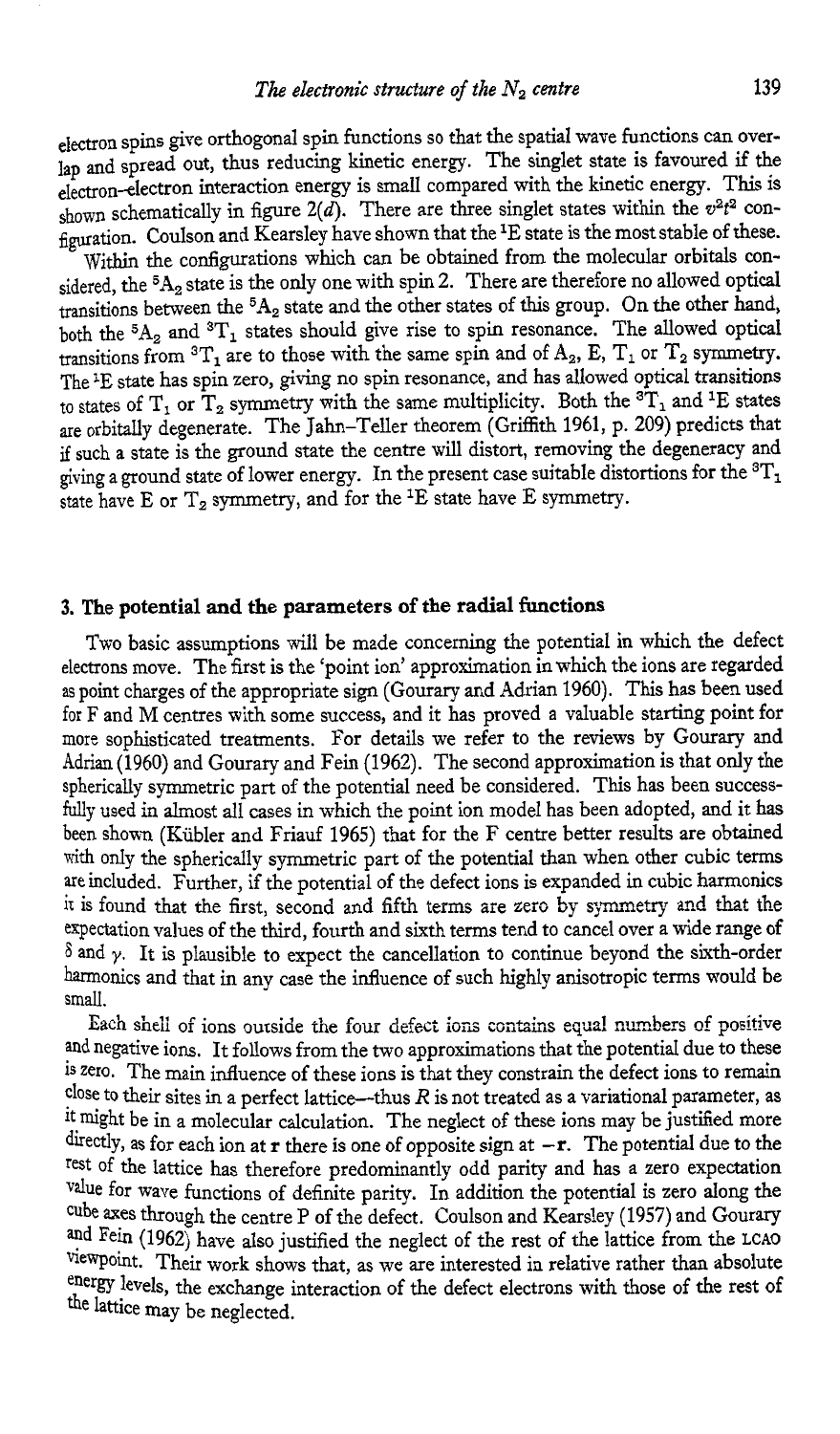electron spins give orthogonal spin functions so that the spatial wave functions can overlap and spread out, thus reducing kinetic energy. The singlet state is favoured if the electron-electron interaction energy is small compared with the kinetic energy. This is shown schematically in figure  $2(d)$ . There are three singlet states within the  $v^2t^2$  configuration. CouIson and Kearsley have shown that the lE state is the most stable of these.

Within the configurations which can be obtained from the molecular orbitals considered, the <sup>5</sup>A<sub>2</sub> state is the only one with spin 2. There are therefore no allowed optical transitions between the <sup>5</sup>A<sub>2</sub> state and the other states of this group. On the other hand, both the  ${}^{5}A_{2}$  and  ${}^{3}T_{1}$  states should give rise to spin resonance. The allowed optical transitions from  ${}^{3}T_{1}$  are to those with the same spin and of  $A_{2}$ , E, T<sub>1</sub> or T<sub>2</sub> symmetry. The <sup>1</sup>E state has spin zero, giving no spin resonance, and has allowed optical transitions to states of  $T_1$  or  $T_2$  symmetry with the same multiplicity. Both the  ${}^{3}T_1$  and <sup>1</sup>E states are orbitally degenerate. The Jahn-Teller theorem (Griflith 1961, p. 209) predicts that if such a state is the ground state the centre will distort, removing the degeneracy and giving a ground state of lower energy. In the present case suitable distortions for the **3T1**  state have E or  $T_2$  symmetry, and for the <sup>1</sup>E state have E symmetry.

#### **3. The potential and the parameters of the radial functions**

Two basic assumptions will be made concerning the potential in which the defect electrons move. The first is the 'point ion' approximation in which the ions are regarded as point charges of the appropriate sign (Gourary and Adrian 1960). This has been used for F and M centres with some success, and it has proved **a** valuable starting point for more sophisticated treatments. For details we refer to the reviews by *Gourary* and Adrian (1960) and Gourary and Fein (1962). The second approximation is that only the spherically symmetric part of the potential need be considered. This has been successfully used in almost all cases in which the point ion model has been adopted, and it has been shown (Kubler and Friauf 1965) that for the F centre better results are obtained with only the spherically symmetric part of the potential than when other cubic terms are included. Further, if the potential of the defect ions is expanded in cubic harmonics it is found that the first, second and fifth terms are zero by symmetry and that the expectation values of the third, fourth and sixth terms tend to cancel over a wide range of  $\delta$  and  $\gamma$ . It is plausible to expect the cancellation to continue beyond the sixth-order harmonics and that in any case the influence of such highly anisotropic terms would be small.

and negative ions. It follows from the two approximations that the potential due to these **1s** zero. The main influence of these ions is that they constrain the defect ions to remain close to their sites in a perfect lattice—thus  $R$  is not treated as a variational parameter, as it might be in a molecular calculation. The neglect of these ions may be justified more directly, as for each ion at **r** there is one of opposite sign at  $-r$ . The potential due to the rest of the lattice has therefore predominantly odd parity and has a zero expectation for wave functions of definite parity. In addition the potential is zero *along* the cube axes through the centre P of the defect. Coulson and Kearsley (1957) and Gourary and Fein (1962) have also justified the neglect of the rest of the lattice from the LCAO viewpoint. Their work shows that, as we are interested in relative rather than absolute energy levels, the exchange interaction of the defect electrons with those of the rest of Each shell of ions ourside the four defect ions contains equal numbers of positive the lattice may be neglected.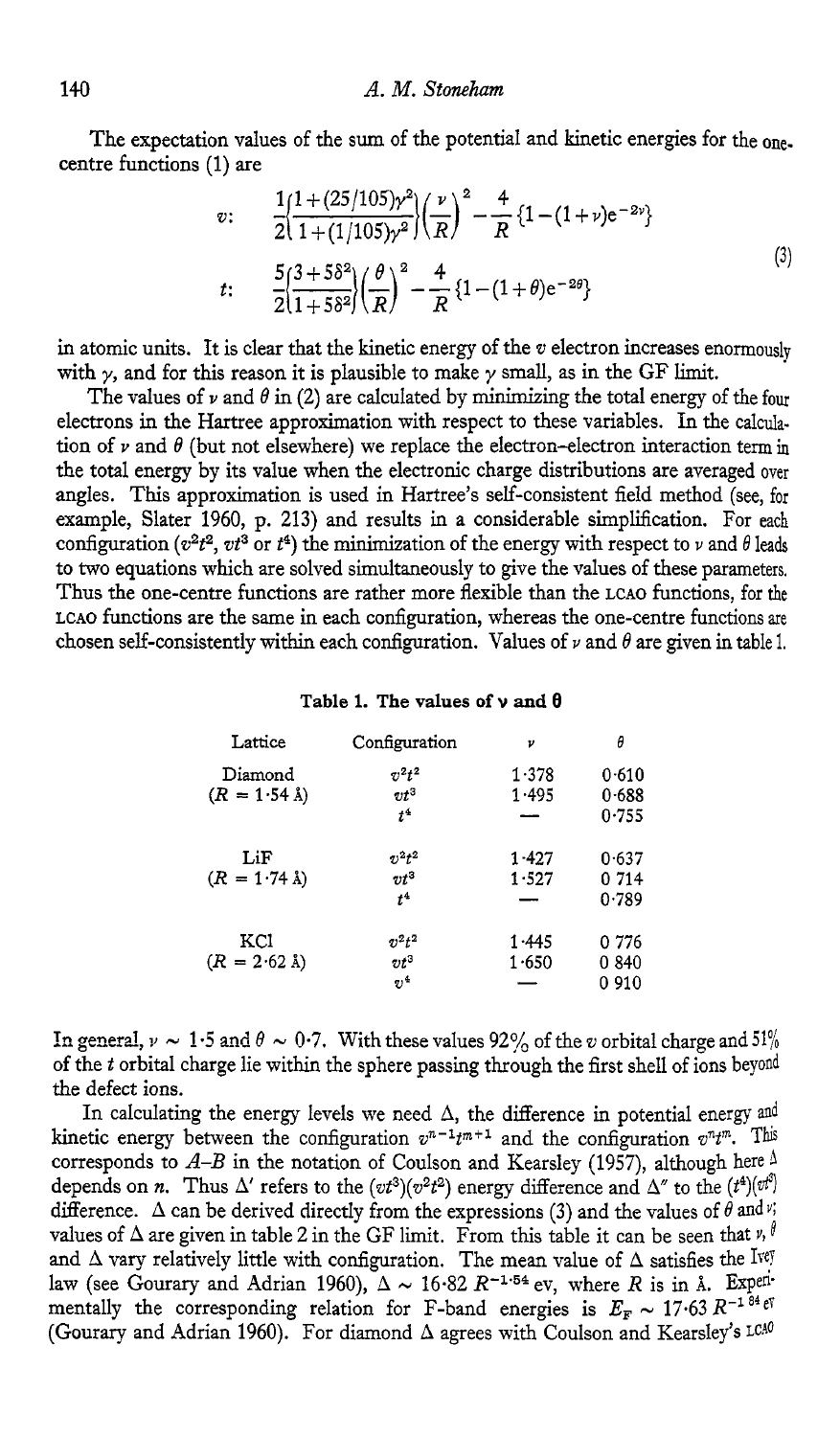centre functions **(1)** are

The expectation values of the sum of the potential and kinetic energies for the one-  
tre functions (1) are  

$$
v: \frac{1(1+(25/105)\gamma^2)}{2(1+(1/105)\gamma^2)} \left(\frac{v}{R}\right)^2 - \frac{4}{R} \left\{1 - (1+\nu)e^{-2v}\right\}
$$

$$
t: \frac{5(3+5\delta^2)}{2(1+5\delta^2)} \left(\frac{\theta}{R}\right)^2 - \frac{4}{R} \left\{1 - (1+\theta)e^{-2\theta}\right\}
$$
(3)

in atomic units. It is clear that the kinetic energy of the *v* electron increases enormously with  $\gamma$ , and for this reason it is plausible to make  $\gamma$  small, as in the GF limit.

The values of  $\nu$  and  $\theta$  in (2) are calculated by minimizing the total energy of the four electrons in the Hartree approximation with respect to these variables. In the calculation of  $\nu$  and  $\theta$  (but not elsewhere) we replace the electron-electron interaction term in the total energy by its value when the electronic charge distributions are averaged over angles. This approximation is used in Hartree's self-consistent field method (see, for example, Slater **1960,** p. **213)** and results in a considerable simplification. For each configuration  $(v^2t^2, vt^3$  or  $t^4$ ) the minimization of the energy with respect to *v* and  $\theta$  leads to two equations which are solved simultaneously to give the values of these parameters. Thus the one-centre functions are rather more flexible than the **LCAO** functions, for the **LCAO** functions are the same in each configuration, whereas the one-centre functions are chosen self-consistently within each configuration. Values of  $\nu$  and  $\theta$  are given in table 1.

|  |  |  | Table 1. The values of $\nu$ and $\theta$ |  |  |  |  |  |
|--|--|--|-------------------------------------------|--|--|--|--|--|
|--|--|--|-------------------------------------------|--|--|--|--|--|

| Lattice                | Configuration | ν     | θ       |  |
|------------------------|---------------|-------|---------|--|
| Diamond                | $v^2t^2$      | 1.378 | 0.610   |  |
| $(R = 1.54 \text{ Å})$ | $\tau t^3$    | 1.495 | 0.688   |  |
|                        | $t^4$         |       | 0.755   |  |
| LiF                    | $v^2t^2$      | 1.427 | 0.637   |  |
| $(R = 1.74 \text{ Å})$ | $vt^3$        | 1.527 | 0 714   |  |
|                        | $t^4$         |       | 0.789   |  |
| KCl                    | $v^2t^2$      | 1.445 | 0 776   |  |
| $(R = 2.62 \text{ Å})$ | $vt^3$        | 1.650 | 0840    |  |
|                        | $n^{4}$       |       | 0 9 1 0 |  |

In general,  $\nu \sim 1.5$  and  $\theta \sim 0.7$ . With these values 92% of the *v* orbital charge and 51% of the *t* orbital charge lie within the sphere passing through the first shell of ions beyond the defect ions.

In calculating the energy levels we need  $\Delta$ , the difference in potential energy and kinetic energy between the configuration  $v^{n-1}t^{m+1}$  and the configuration  $v^n t^m$ . This corresponds to  $A-B$  in the notation of Coulson and Kearsley (1957), although here  $\Lambda$ depends on *n*. Thus  $\Delta'$  refers to the  $(vt^3)(v^2t^2)$  energy difference and  $\Delta''$  to the  $(t^4)(vt^2)$ difference.  $\Delta$  can be derived directly from the expressions (3) and the values of  $\theta$  and  $\psi$ ; values of  $\Delta$  are given in table 2 in the GF limit. From this table it can be seen that  $v, \theta$ and  $\Delta$  vary relatively little with configuration. The mean value of  $\Delta$  satisfies the Ive law (see Gourary and Adrian 1960),  $\Delta \sim 16.82 R^{-1.54}$  ev, where *R* is in Å. Expenmentally the corresponding relation for F-band energies is  $E_F \sim 17.63 R^{-1.84} e^{\gamma}$ (Gourary and Adrian **1960).** For diamond **A** agrees with Coulson and Kearsley's LCho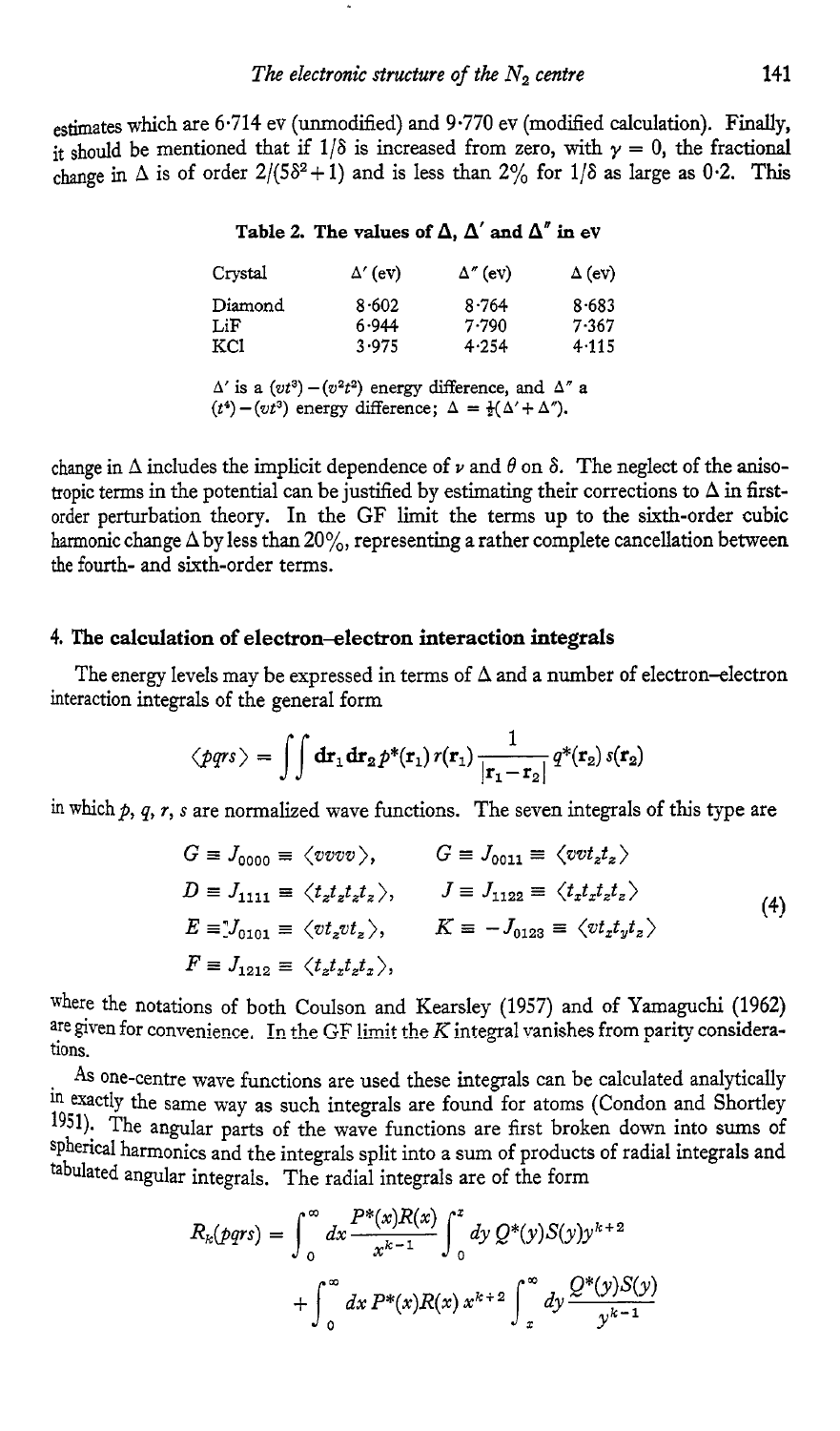estimates which are **6.714** ev (unmodified) and **9.770** ev (modified calculation), **Finally,**  it should be mentioned that if  $1/\delta$  is increased from zero, with  $\gamma = 0$ , the fractional change in  $\Delta$  is of order  $2/(5\delta^2 + 1)$  and is less than  $2\%$  for  $1/\delta$  as large as 0.2. This

#### Table 2. The values of  $\Delta$ ,  $\Delta'$  and  $\Delta''$  in ev

| Crystal | $\Delta'$ (ev) | $\Delta''$ (ev) | $\Delta$ (ev) |
|---------|----------------|-----------------|---------------|
| Diamond | 8.602          | 8.764           | 8.683         |
| LiF     | 6.944          | 7.790           | 7.367         |
| KCI     | 3.975          | 4.254           | 4.115         |

 $\Delta'$  is a  $(vt^3) - (v^2t^2)$  energy difference, and  $\Delta''$  a  $(t^4) - (vt^3)$  energy difference;  $\Delta = \frac{1}{2}(\Delta' + \Delta'')$ .

change in  $\Delta$  includes the implicit dependence of  $\nu$  and  $\theta$  on  $\delta$ . The neglect of the anisotropic terms in the potential can be justified by estimating their corrections to  $\Delta$  in firstorder perturbation theory. In the GF limit the terms up to the sixth-order cubic harmonic change **A** by less than **20%,** representing a rather complete cancellation between the fourth- and sixth-order terms.

## **4. The calculation of electron-electron interaction integrals**

interaction integrals of the general form The energy levels may be expressed in terms of  $\Delta$  and a number of electron-electron

$$
\langle p q r s \rangle = \int \int d \mathbf{r}_1 d \mathbf{r}_2 p^* (\mathbf{r}_1) r(\mathbf{r}_1) \frac{1}{|\mathbf{r}_1 - \mathbf{r}_2|} q^* (\mathbf{r}_2) s(\mathbf{r}_2)
$$

in which p, q, r, s are normalized wave functions. The seven integrals of this type are

$$
G \equiv J_{0000} \equiv \langle v v v v \rangle, \qquad G \equiv J_{0011} \equiv \langle v v t_z t_z \rangle
$$
  
\n
$$
D \equiv J_{1111} \equiv \langle t_z t_z t_z t_z \rangle, \qquad J \equiv J_{1122} \equiv \langle t_z t_z t_z t_z \rangle
$$
  
\n
$$
E \equiv J_{0101} \equiv \langle v t_z v t_z \rangle, \qquad K \equiv -J_{0123} \equiv \langle v t_z t_y t_z \rangle
$$
  
\n
$$
F \equiv J_{1212} \equiv \langle t_z t_z t_z t_z \rangle,
$$
\n(4)

where the notations of both Coulson and Kearsley **(1957)** and of Yamaguchi **(1962)** are given for convenience. In the GF limit the *K* integral vanishes from parity considerations.

As one-centre wave functions are used these integrals can be calculated analytically in exactly the same way as such integrals are found for atoms (Condon and Shortley 1951)- The angular parts of the wave functions are first broken down into sums of spherical harmonics and the integrals split into a sum of products of radial integrals and tabulated angular integrals. The radial integrals are of the form

$$
R_k(pqrs) = \int_0^\infty dx \frac{P^*(x)R(x)}{x^{k-1}} \int_0^x dy Q^*(y)S(y)y^{k+2}
$$
  
+ 
$$
\int_0^\infty dx P^*(x)R(x) x^{k+2} \int_x^\infty dy \frac{Q^*(y)S(y)}{y^{k-1}}
$$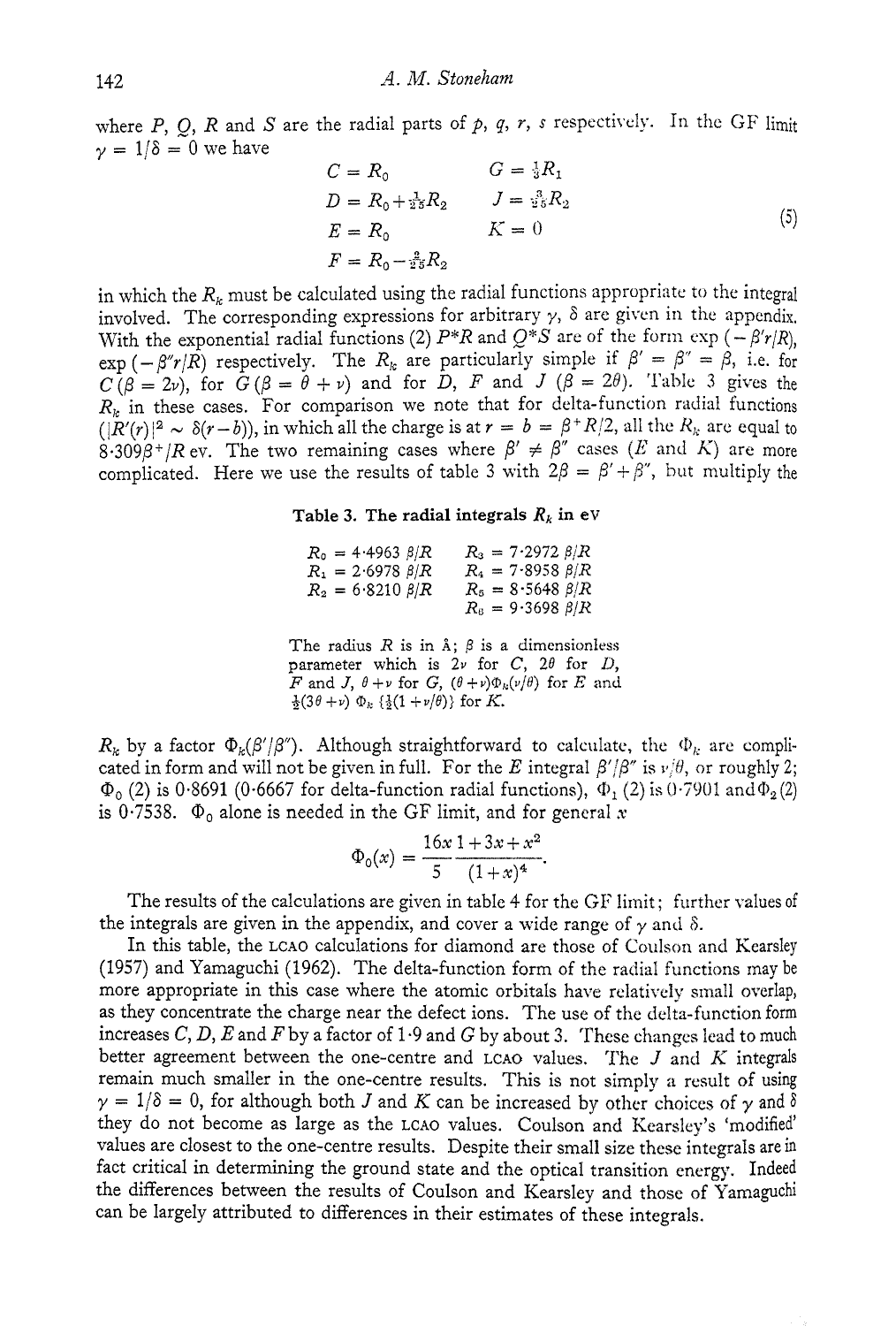where  $P$ ,  $Q$ ,  $R$  and  $S$  are the radial parts of  $p$ ,  $q$ ,  $r$ ,  $s$  respectively. In the GF limit  $y = 1/\delta = 0$  we have

$$
C = R_0 \t G = \frac{1}{3}R_1
$$
  
\n
$$
D = R_0 + \frac{1}{25}R_2 \t J = \frac{3}{25}R_2
$$
  
\n
$$
E = R_0 \t K = 0
$$
  
\n
$$
F = R_0 - \frac{2}{25}R_2
$$
\n(5)

in which the  $R_k$  must be calculated using the radial functions appropriate to the integral involved. The corresponding expressions for arbitrary  $\gamma$ ,  $\delta$  are given in the appendix, With the exponential radial functions (2)  $P^*R$  and  $Q^*S$  are of the form  $\exp(-\beta' r/R)$ ,  $\exp(-\beta''r/\hat{R})$  respectively. The  $R_k$  are particularly simple if  $\beta' = \beta'' = \beta$ , i.e. for  $C(\beta = 2\nu)$ , for  $G(\beta = \theta + \nu)$  and for  $D$ ,  $F$  and  $J(\beta = 2\theta)$ . Table 3 gives the  $R_k$  in these cases. For comparison we note that for delta-function radial functions  $(|R'(r)|^2 \sim \delta(r-b)$ , in which all the charge is at  $r = b = \beta^+ R/2$ , all the  $R_k$  are equal to  $8.309\beta$ <sup>+</sup>/R ev. The two remaining cases where  $\beta' \neq \beta''$  cases (E and K) are more complicated. Here we use the results of table 3 with  $2\beta = \beta' + \beta''$ , but multiply the

#### **Table 3. The radial integrals**  $R_k$  **in ev**

| $R_{\rm o} = 4.4963~\beta/R$ | $R_3 = 7.2972 \frac{\beta}{R}$ |
|------------------------------|--------------------------------|
| $R_1 = 2.6978 \ \beta/R$     | $R_4 = 7.8958 \ \beta/R$       |
| $R_2 = 6.8210 \ \beta/R$     | $R_5 = 8.5648 \ \beta/R$       |
|                              | $R_8 = 9.3698 \ \beta/R$       |

The radius  $R$  is in  $\lambda$ ;  $\beta$  is a dimensionless parameter which is  $2\nu$  for *C*,  $2\theta$  for *D*, *F* and *J*,  $\theta + \nu$  for *G*,  $(\theta + \nu)\Phi_k(\nu/\theta)$  for *E* and  $\frac{1}{2}(3\theta + \nu) \Phi_k \{\frac{1}{2}(1 + \nu/\theta)\}\$ for *K*.

 $R_k$  by a factor  $\Phi_k(\beta'/\beta'')$ . Although straightforward to calculate, the  $\Phi_k$  are complicated in form and will not be given in full. For the *E* integral  $\beta'/\beta''$  is  $\nu/\theta$ , or roughly 2;  $\Phi_0$  (2) is 0.8691 (0.6667 for delta-function radial functions),  $\Phi_1$  (2) is 0.7901 and  $\Phi_2$  (2) is 0.7538.  $\Phi_0$  alone is needed in the GF limit, and for general x<br>  $\Phi_0(x) = \frac{16x \cdot 1 + 3x + x^2}{5 \cdot (1 + x)^4}$ . is 0.7538.  $\Phi_0$  alone is needed in the GF limit, and for general x

$$
\Phi_0(x) = \frac{16x}{5} \frac{1+3x+x^2}{(1+x)^4}.
$$

The results of the calculations are given in table 4 for the GF limit; further values of the integrals are given in the appendix, and cover a wide range of  $\gamma$  and  $\delta$ .

In this table, the LCAO calculations for diamond are those of Coulson and Kearsley (1957) and Yamaguchi (1962). The delta-function form of the radial functions may be more appropriate in this case where the atomic orbitals have relatively small overlap, as they concentrate the charge near the defect ions. The use of the delta-function form increases  $C, D, E$  and  $F$  by a factor of 1.9 and  $G$  by about 3. These changes lead to much better agreement between the one-centre and LCAO values. ?'he *J* and *K* integrals remain much smaller in the one-centre results. This is not simply a result of using  $\gamma = 1/\delta = 0$ , for although both *J* and *K* can be increased by other choices of  $\gamma$  and  $\delta$ they do not become as large as the LCAO values. Coulson and Kearsley's 'modified' values are closest to the one-centre results. Despite their smalI size these integrals are in fact critical in determining the ground state and the optical transition energy. Indeed the differences between the results of Coulson and Kearsley and those of Yamaguchi can be largely attributed to differences in their estimates of these integrals.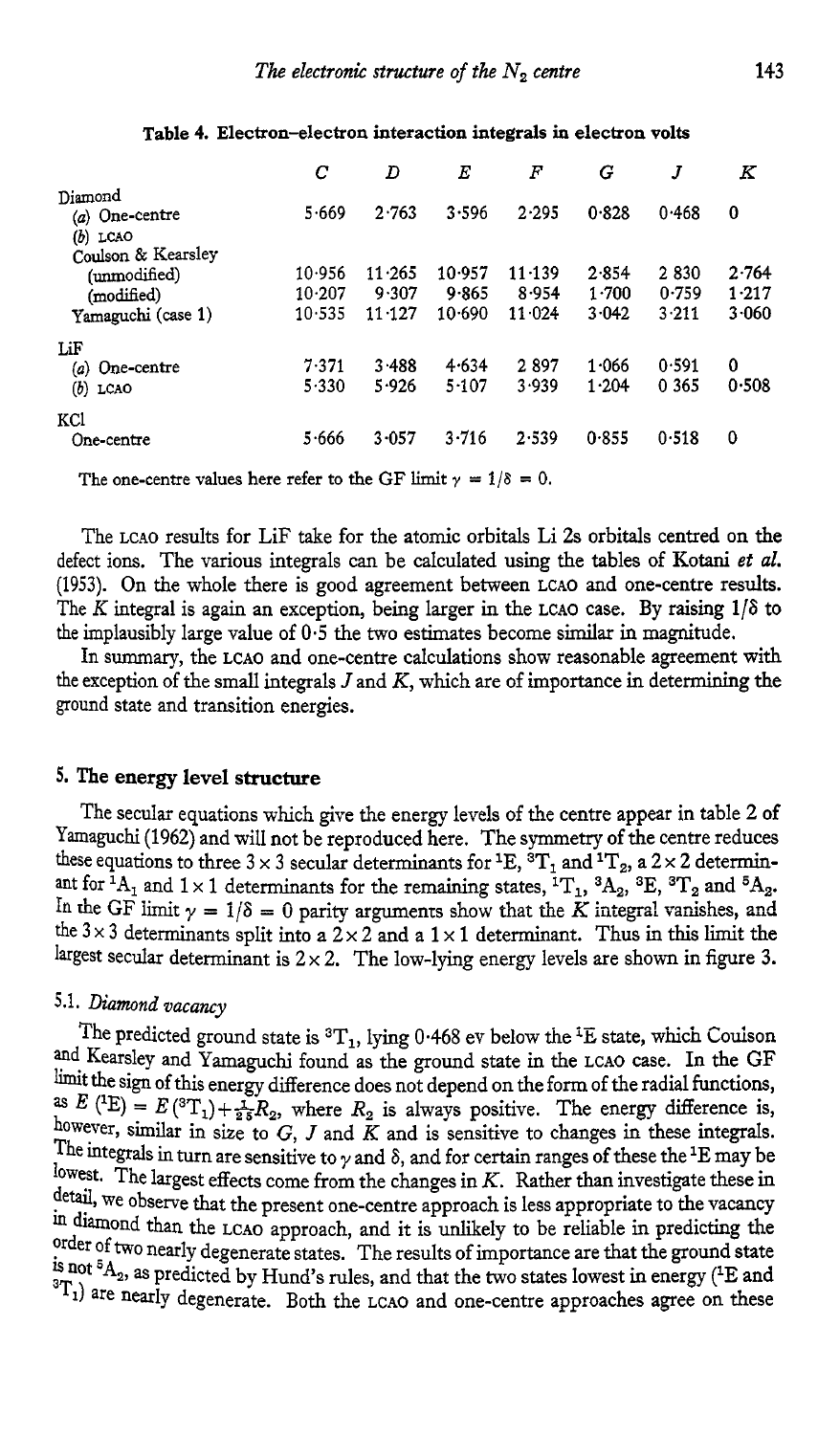|                                                                        | С                              | D                             | E                         | F                             | G                       | J                      | Κ                       |
|------------------------------------------------------------------------|--------------------------------|-------------------------------|---------------------------|-------------------------------|-------------------------|------------------------|-------------------------|
| Diamond<br>$(a)$ One-centre<br>(b)<br>LCAO                             | 5.669                          | 2.763                         | 3.596                     | 2.295                         | 0.828                   | 0.468                  | 0                       |
| Coulson & Kearsley<br>(unmodified)<br>(modified)<br>Yamaguchi (case 1) | 10.956<br>$10 - 207$<br>10.535 | 11.265<br>9.307<br>$11 - 127$ | 10.957<br>9.865<br>10.690 | $11 - 139$<br>8.954<br>11.024 | 2.854<br>1.700<br>3.042 | 2830<br>0.759<br>3.211 | 2.764<br>1.217<br>3.060 |
| LiF<br>One-centre<br>(a)<br>(b)<br>LCAO                                | 7.371<br>5.330                 | 3.488<br>5.926                | 4.634<br>5.107            | 2897<br>3.939                 | 1.066<br>1.204          | 0.591<br>0 3 6 5       | 0<br>0.508              |
| KC.<br>One-centre                                                      | 5.666                          | 3.057                         | 3.716                     | 2.539                         | 0.855                   | 0.518                  | 0                       |

#### **Table 4. Electron-electron interaction integrals** h **electron volts**

The one-centre values here refer to the GF limit  $\gamma = 1/\delta = 0$ .

The **LCAO** results for LiF take for the atomic orbitals Li **2s** orbitals centred on the defect ions. The various integrals can be calculated using the tables of Kotani *et al.*  **(1953).** On the whole there is good agreement between **LCAO** and one-centre results. The *K* integral is again an exception, being larger in the **LCAO** case. By raising **116** to the implausibly large value of **0.5** the two estimates become similar in magnitude.

In *summary,* the **LCAO** and one-centre calculations show reasonable agreement with the exception of the small integrals *J* and *K,* which are of importance in determining the ground state and transition energies.

#### **5. The energy level structure**

The secular equations which give the energy levels of the centre appear in table **2 of**  Xmaguchi **(1962)** and will not be reproduced here. The symmetry of the centre reduces these equations to three  $3 \times 3$  secular determinants for  $\text{^1E}, \text{^3T}_1$  and  $\text{^1T}_2$ , a  $2 \times 2$  determinant for <sup>1</sup>A<sub>1</sub> and 1 × 1 determinants for the remaining states,  ${}^{1}T_{1}$ ,  ${}^{3}A_{2}$ ,  ${}^{3}E$ ,  ${}^{3}T_{2}$  and  ${}^{5}A_{2}$ . In the GF limit  $\gamma = 1/\delta = 0$  parity arguments show that the  $\vec{K}$  integral vanishes, the  $3 \times 3$  determinants split into a  $2 \times 2$  and a  $1 \times 1$  determinant. Thus in this limit the largest secular determinant is  $2 \times 2$ . The low-lying energy levels are shown in figure 3.

# **5.1.** *Diamond vacancy*

The predicted ground state is <sup>3</sup>T<sub>1</sub>, lying 0.468 ev below the <sup>1</sup>E state, which Coulson and Kearsley and Yamaguchi found as the ground state in the **LCAO** case. In the **GF**  limit the sign of this energy difference does not depend on the form of the radial functions, as  $E(^{1}E) = E(^{3}T_{1}) + \frac{1}{25}R_{2}$ , where  $R_{2}$  is always positive. The energy difference is, however, similar in size to *G*, *J* and  $\tilde{K}$  and is sensitive to changes in these integrals. The integrals in turn are sensitive to  $\gamma$  and  $\delta$ , and for certain ranges of these the <sup>1</sup>E may be lowest. The largest effects come from the changes in *K.* Rather than investigate these in detail, we observe that the present one-centre approach is less appropriate to the vacancy in diamond **than** the **LCAO** approach, and it is unlikely to be reliable in predicting the order of two nearly degenerate states. The results of importance are that the ground state is not <sup>5</sup>A<sub>2</sub>, as predicted by Hund's rules, and that the two states lowest in energy (<sup>1</sup>E and <sup>3</sup>T<sub>1</sub>) are nearly degenerate. Both the LCAO and one-centre approaches agree on these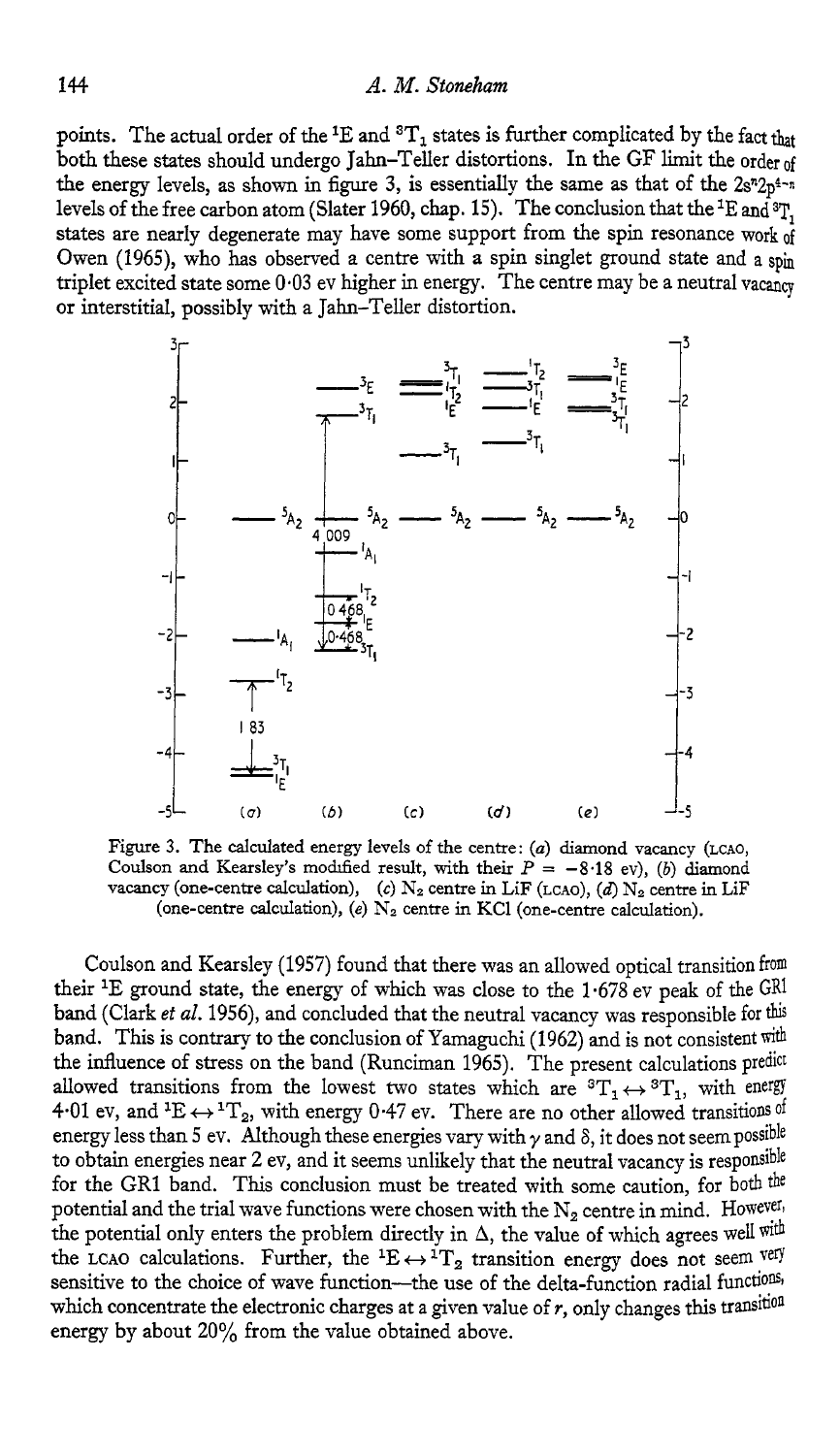points. The actual order of the <sup>1</sup>E and  ${}^{3}T_{1}$  states is further complicated by the fact that both these states should undergo Jahn-Teller distortions. In the GF limit the order of the energy levels, as shown in figure 3, is essentially the same as that of the  $2s^n2p^{4-n}$ levels of the free carbon atom (Slater 1960, chap. 15). The conclusion that the <sup>1</sup>E and <sup>3</sup>T, states are nearly degenerate may have some support from the spin resonance work of Owen (1965), who has observed a centre with a spin singlet ground state and a spin triplet excited state some 0.03 ev higher in energy. The centre may be a neutral vacancy or interstitial, possibly with a Jahn-Teller distortion.



Figure 3. The calculated energy levels of the centre: (a) diamond vacancy (LCAO, Coulson and Kearsley's modified result, with their  $P = -8.18$  ev), *(b)* diamond vacancy (one-centre calculation),  $(c)$   $N_2$  centre in LiF (LCAO),  $(d)$   $N_2$  centre in LiF (one-centre calculation), (e)  $N_2$  centre in KCl (one-centre calculation).

Coulson and Kearsley (1957) found that there was an allowed optical transition from their <sup>1</sup>E ground state, the energy of which was close to the  $1.678$  ev peak of the GRI band (Clark *et al.* 1956), and concluded that the neutral vacancy was responsible for this band. This is contrary to the conclusion of Yamaguchi (1962) and is not consistent with the influence of stress on the band (Runciman 1965). The present calculations predict allowed transitions from the lowest two states which are  ${}^{3}T_{1} \leftrightarrow {}^{3}T_{1}$ , with energy 4.01 ev, and <sup>1</sup>E  $\leftrightarrow$  <sup>1</sup>T<sub>2</sub>, with energy 0.47 ev. There are no other allowed transitions of energy less than 5 ev. Although these energies vary with  $\gamma$  and  $\delta$ , it does not seem possible to obtain energies near 2 ev, and it seems unlikely that the neutral vacancy is responsible for the GR1 band. This conclusion must be treated with some caution, for both the potential and the trial wave functions were chosen with the  $N_2$  centre in mind. However, the potential only enters the problem directly in  $\Delta$ , the value of which agrees well with the LCAO calculations. Further, the  ${}^1E \leftrightarrow {}^1T_2$  transition energy does not seem very sensitive to the choice of wave function-the use of the delta-function radial functions, which concentrate the electronic charges at a given value of *r,* only changes this transition energy by about **20%** from the value obtained above.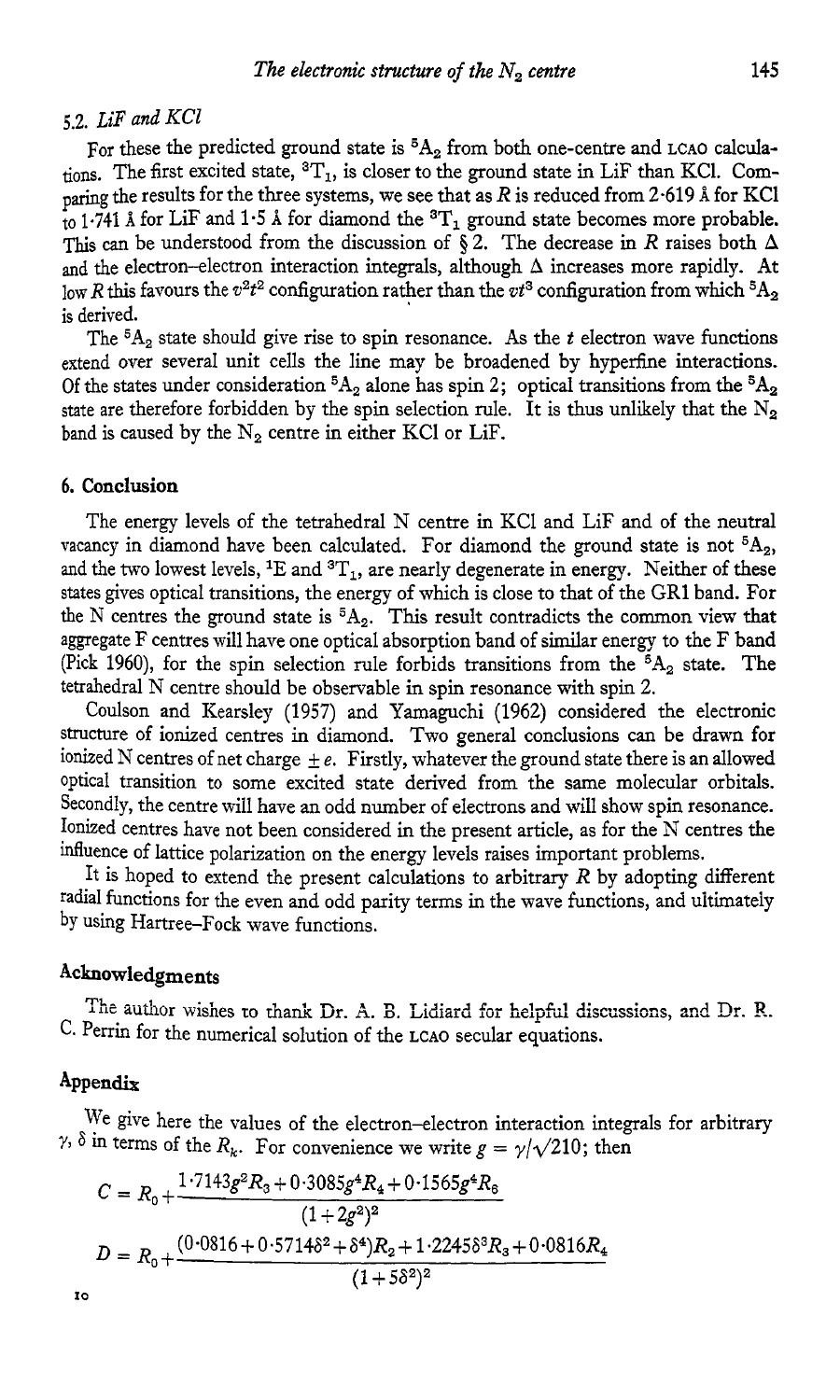# *5.2. LiF and KCl*

For these the predicted ground state is <sup>5</sup>A<sub>2</sub> from both one-centre and LCAO calculations. The first excited state,  ${}^{3}T_{1}$ , is closer to the ground state in LiF than KCl. Comparing the results for the three systems, we see that as  $R$  is reduced from 2.619 Å for KCl  $\frac{1}{10}$  1.741 Å for LiF and 1.5 Å for diamond the <sup>3</sup>T<sub>1</sub> ground state becomes more probable. This can be understood from the discussion of  $\tilde{\delta}$  2. The decrease in R raises both  $\Delta$ and the electron-electron interaction integrals, although **A** increases more rapidly. At low *R* this favours the  $v^2t^2$  configuration rather than the  $vt^3$  configuration from which  ${}^5A_2$ is derived.

The **5A,** state should give rise to spin resonance. As the *t* electron wave functions extend over several unit cells the line may be broadened by hyperfine interactions. Of the states under consideration  ${}^5A_2$  alone has spin 2; optical transitions from the  ${}^5A_2$ state are therefore forbidden by the spin selection rule. It is thus unlikely that the  $N_2$ band is caused by the  $N_2$  centre in either KCI or LiF.

#### **6. Conclusion**

The energy levels of the tetrahedral N centre in KC1 and LiF and of the neutral vacancy in diamond have been calculated. For diamond the ground state is not  ${}^{5}A_{2}$ , and the two lowest levels, <sup>1</sup>E and <sup>3</sup>T<sub>1</sub>, are nearly degenerate in energy. Neither of these states gives optical transitions, the energy of which is close to that of the GR1 band. For the N centres the ground state is **5A2.** This result contradicts the common view that aggregate F centres will have one optical absorption band of similar energy to the F **band**  (Pick 1960), for the spin selection rule forbids transitions from the  ${}^{5}A_{2}$  state. The tetrahedral N centre should be observable in spin resonance with spin 2.

Coulson and Kearsley (1957) and Yamaguchi (1962) considered the electronic structure of ionized centres in diamond. Two general conclusions can be drawn for ionized N centres of net charge  $\pm e$ . Firstly, whatever the ground state there is an allowed optical transition to some excited state derived from the same molecular orbitals. Secondly, the centre will have an odd number of electrons and will show spin resonance. Ionized centres have not been considered in the present article, as for the N centres the influence of lattice polarization on the energy levels raises important problems.

It is hoped to extend the present calculations to arbitrary  $R$  by adopting different radial functions for the even and odd parity terms in the wave functions, and uitimateiy by Using Hartree-Fock wave functions.

## **Acknowledgments**

C. Perrin for the numerical solution of the **LCAO** secular equations. The author wishes to thank Dr. A. B. Lidiard for helpful discussions, and Dr. R.

#### Appendix

*IO* 

 $\gamma$ ,  $\delta$  in terms of the  $R_k$ . For convenience we write  $g = \gamma / \sqrt{210}$ ; then we give here the values of the electron-electron interaction integrals for arbitrary

$$
C = R_0 + \frac{1.7143g^2R_3 + 0.3085g^4R_4 + 0.1565g^4R_8}{(1 + 2g^2)^2}
$$
  

$$
D = R_0 + \frac{(0.0816 + 0.5714\delta^2 + \delta^4)R_2 + 1.2245\delta^3R_3 + 0.0816R_4}{(1 + 5\delta^2)^2}
$$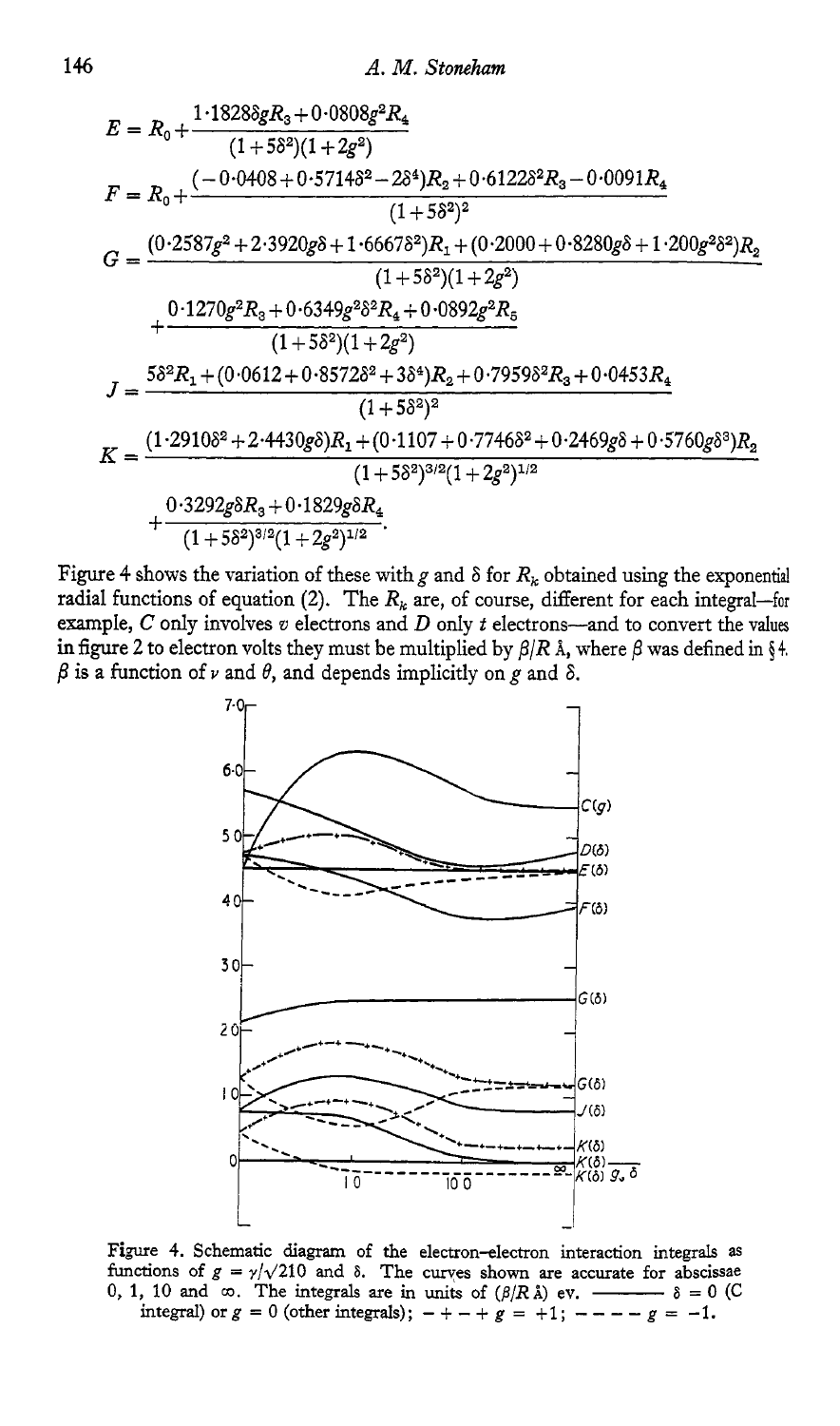$$
E = R_0 + \frac{1 \cdot 1828 \delta g R_3 + 0 \cdot 0808 g^2 R_4}{(1+5\delta^2)(1+2g^2)}
$$
  
\n
$$
F = R_0 + \frac{(-0 \cdot 0408 + 0 \cdot 5714 \delta^2 - 2\delta^4) R_2 + 0 \cdot 6122 \delta^2 R_3 - 0 \cdot 0091 R_4}{(1+5\delta^2)^2}
$$
  
\n
$$
G = \frac{(0 \cdot 2587 g^2 + 2 \cdot 3920 g \delta + 1 \cdot 6667 \delta^2) R_1 + (0 \cdot 2000 + 0 \cdot 8280 g \delta + 1 \cdot 200 g^2 \delta^2) R_2}{(1+5\delta^2)(1+2g^2)}
$$
  
\n
$$
+ \frac{0 \cdot 1270 g^2 R_3 + 0 \cdot 6349 g^2 \delta^2 R_4 + 0 \cdot 0892 g^2 R_5}{(1+5\delta^2)(1+2g^2)}
$$
  
\n
$$
J = \frac{5\delta^2 R_1 + (0 \cdot 0612 + 0 \cdot 8572 \delta^2 + 3\delta^4) R_2 + 0 \cdot 7959 \delta^2 R_3 + 0 \cdot 0453 R_4}{(1+5\delta^2)^2}
$$
  
\n
$$
K = \frac{(1 \cdot 2910 \delta^2 + 2 \cdot 4430 g \delta) R_1 + (0 \cdot 1107 + 0 \cdot 7746 \delta^2 + 0 \cdot 2469 g \delta + 0 \cdot 5760 g \delta^3) R_2}{(1+5\delta^2)^{3/2}(1+2g^2)^{1/2}}
$$
  
\n
$$
+ \frac{0 \cdot 3292 g \delta R_3 + 0 \cdot 1829 g \delta R_4}{(1+5\delta^2)^{3/2}(1+2g^2)^{1/2}}.
$$

Figure 4 shows the variation of these with g and  $\delta$  for  $R_k$  obtained using the exponential radial functions of equation (2). The  $R_k$  are, of course, different for each integral-for example,  $C$  only involves  $v$  electrons and  $D$  only  $t$  electrons-and to convert the values in figure 2 to electron volts they must be multiplied by  $\beta/R$  Å, where  $\beta$  was defined in §4.  $\beta$  is a function of *v* and  $\theta$ , and depends implicitly on g and  $\delta$ .



Figure 4. Schematic diagram of the electron-electron interaction integrals as functions of  $g = \frac{\gamma}{\sqrt{210}}$  and  $\delta$ . The curves shown are accurate for abscissae integral) or  $g = 0$  (other integrals);  $- + - + g = +1$ ;  $- - - - g = -1$ .